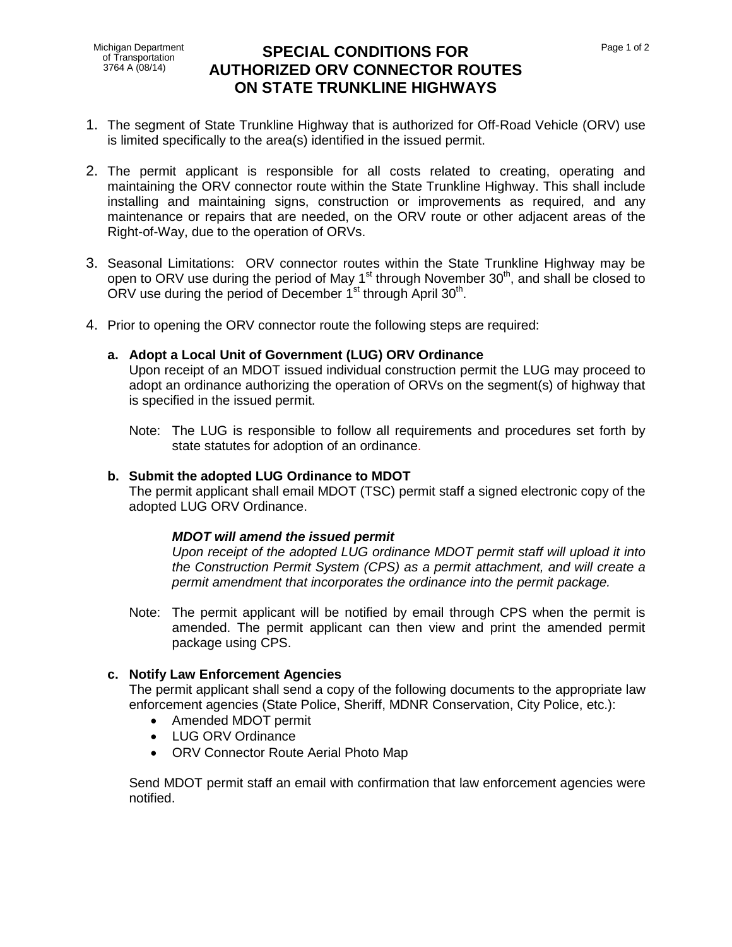Michigan Department of Transportation 3764 A (08/14)

# **SPECIAL CONDITIONS FOR AUTHORIZED ORV CONNECTOR ROUTES ON STATE TRUNKLINE HIGHWAYS**

- 1. The segment of State Trunkline Highway that is authorized for Off-Road Vehicle (ORV) use is limited specifically to the area(s) identified in the issued permit.
- 2. The permit applicant is responsible for all costs related to creating, operating and maintaining the ORV connector route within the State Trunkline Highway. This shall include installing and maintaining signs, construction or improvements as required, and any maintenance or repairs that are needed, on the ORV route or other adjacent areas of the Right-of-Way, due to the operation of ORVs.
- 3. Seasonal Limitations: ORV connector routes within the State Trunkline Highway may be open to ORV use during the period of May 1<sup>st</sup> through November 30<sup>th</sup>, and shall be closed to ORV use during the period of December 1<sup>st</sup> through April 30<sup>th</sup>.
- 4. Prior to opening the ORV connector route the following steps are required:

### **a. Adopt a Local Unit of Government (LUG) ORV Ordinance**

Upon receipt of an MDOT issued individual construction permit the LUG may proceed to adopt an ordinance authorizing the operation of ORVs on the segment(s) of highway that is specified in the issued permit.

Note: The LUG is responsible to follow all requirements and procedures set forth by state statutes for adoption of an ordinance.

#### **b. Submit the adopted LUG Ordinance to MDOT**

The permit applicant shall email MDOT (TSC) permit staff a signed electronic copy of the adopted LUG ORV Ordinance.

### *MDOT will amend the issued permit*

*Upon receipt of the adopted LUG ordinance MDOT permit staff will upload it into the Construction Permit System (CPS) as a permit attachment, and will create a permit amendment that incorporates the ordinance into the permit package.*

Note: The permit applicant will be notified by email through CPS when the permit is amended. The permit applicant can then view and print the amended permit package using CPS.

#### **c. Notify Law Enforcement Agencies**

The permit applicant shall send a copy of the following documents to the appropriate law enforcement agencies (State Police, Sheriff, MDNR Conservation, City Police, etc.):

- Amended MDOT permit
- LUG ORV Ordinance
- ORV Connector Route Aerial Photo Map

Send MDOT permit staff an email with confirmation that law enforcement agencies were notified.